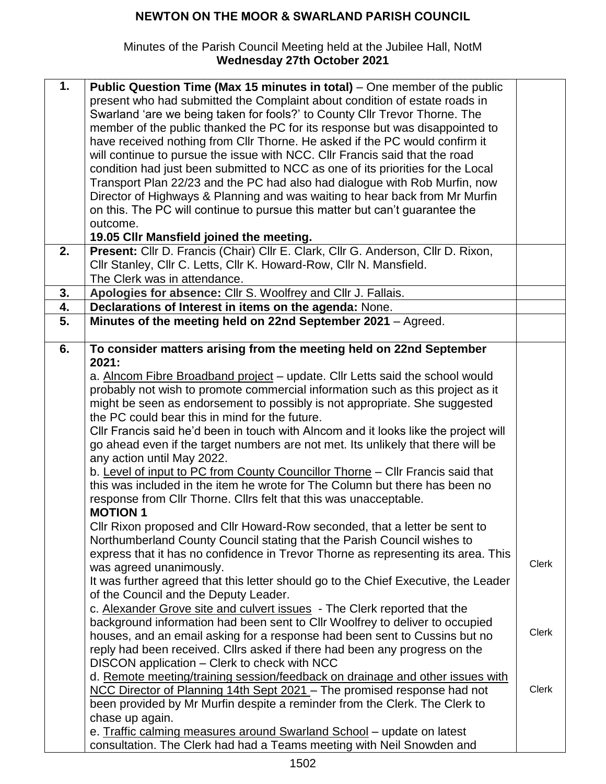#### **NEWTON ON THE MOOR & SWARLAND PARISH COUNCIL**

#### Minutes of the Parish Council Meeting held at the Jubilee Hall, NotM **Wednesday 27th October 2021**

| 1. | Public Question Time (Max 15 minutes in total) – One member of the public           |              |
|----|-------------------------------------------------------------------------------------|--------------|
|    | present who had submitted the Complaint about condition of estate roads in          |              |
|    | Swarland 'are we being taken for fools?' to County Cllr Trevor Thorne. The          |              |
|    | member of the public thanked the PC for its response but was disappointed to        |              |
|    |                                                                                     |              |
|    | have received nothing from Cllr Thorne. He asked if the PC would confirm it         |              |
|    | will continue to pursue the issue with NCC. Cllr Francis said that the road         |              |
|    | condition had just been submitted to NCC as one of its priorities for the Local     |              |
|    | Transport Plan 22/23 and the PC had also had dialogue with Rob Murfin, now          |              |
|    | Director of Highways & Planning and was waiting to hear back from Mr Murfin         |              |
|    | on this. The PC will continue to pursue this matter but can't guarantee the         |              |
|    | outcome.                                                                            |              |
|    | 19.05 CIIr Mansfield joined the meeting.                                            |              |
|    |                                                                                     |              |
| 2. | Present: Cllr D. Francis (Chair) Cllr E. Clark, Cllr G. Anderson, Cllr D. Rixon,    |              |
|    | Cllr Stanley, Cllr C. Letts, Cllr K. Howard-Row, Cllr N. Mansfield.                 |              |
|    | The Clerk was in attendance.                                                        |              |
| 3. | Apologies for absence: Cllr S. Woolfrey and Cllr J. Fallais.                        |              |
| 4. | Declarations of Interest in items on the agenda: None.                              |              |
| 5. | Minutes of the meeting held on 22nd September 2021 - Agreed.                        |              |
|    |                                                                                     |              |
| 6. | To consider matters arising from the meeting held on 22nd September                 |              |
|    | 2021:                                                                               |              |
|    | a. Alncom Fibre Broadband project - update. Cllr Letts said the school would        |              |
|    | probably not wish to promote commercial information such as this project as it      |              |
|    | might be seen as endorsement to possibly is not appropriate. She suggested          |              |
|    | the PC could bear this in mind for the future.                                      |              |
|    |                                                                                     |              |
|    | CIIr Francis said he'd been in touch with Alncom and it looks like the project will |              |
|    | go ahead even if the target numbers are not met. Its unlikely that there will be    |              |
|    | any action until May 2022.                                                          |              |
|    | b. Level of input to PC from County Councillor Thorne - Cllr Francis said that      |              |
|    | this was included in the item he wrote for The Column but there has been no         |              |
|    | response from CIIr Thorne. CIIrs felt that this was unacceptable.                   |              |
|    | <b>MOTION 1</b>                                                                     |              |
|    | CIIr Rixon proposed and CIIr Howard-Row seconded, that a letter be sent to          |              |
|    | Northumberland County Council stating that the Parish Council wishes to             |              |
|    |                                                                                     |              |
|    | express that it has no confidence in Trevor Thorne as representing its area. This   | <b>Clerk</b> |
|    | was agreed unanimously.                                                             |              |
|    | It was further agreed that this letter should go to the Chief Executive, the Leader |              |
|    | of the Council and the Deputy Leader.                                               |              |
|    | c. Alexander Grove site and culvert issues - The Clerk reported that the            |              |
|    | background information had been sent to CIIr Woolfrey to deliver to occupied        |              |
|    | houses, and an email asking for a response had been sent to Cussins but no          | Clerk        |
|    | reply had been received. Cllrs asked if there had been any progress on the          |              |
|    | DISCON application – Clerk to check with NCC                                        |              |
|    | d. Remote meeting/training session/feedback on drainage and other issues with       |              |
|    | NCC Director of Planning 14th Sept 2021 - The promised response had not             | <b>Clerk</b> |
|    | been provided by Mr Murfin despite a reminder from the Clerk. The Clerk to          |              |
|    | chase up again.                                                                     |              |
|    |                                                                                     |              |
|    | e. Traffic calming measures around Swarland School - update on latest               |              |
|    | consultation. The Clerk had had a Teams meeting with Neil Snowden and               |              |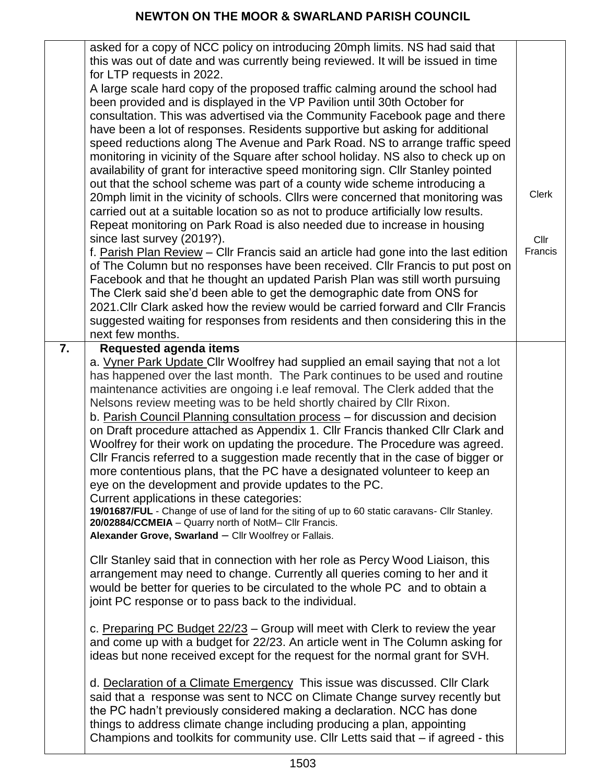|    | asked for a copy of NCC policy on introducing 20mph limits. NS had said that<br>this was out of date and was currently being reviewed. It will be issued in time<br>for LTP requests in 2022.<br>A large scale hard copy of the proposed traffic calming around the school had<br>been provided and is displayed in the VP Pavilion until 30th October for<br>consultation. This was advertised via the Community Facebook page and there<br>have been a lot of responses. Residents supportive but asking for additional<br>speed reductions along The Avenue and Park Road. NS to arrange traffic speed<br>monitoring in vicinity of the Square after school holiday. NS also to check up on<br>availability of grant for interactive speed monitoring sign. Cllr Stanley pointed<br>out that the school scheme was part of a county wide scheme introducing a<br>20mph limit in the vicinity of schools. Cllrs were concerned that monitoring was<br>carried out at a suitable location so as not to produce artificially low results.<br>Repeat monitoring on Park Road is also needed due to increase in housing<br>since last survey (2019?).<br>f. Parish Plan Review - Cllr Francis said an article had gone into the last edition<br>of The Column but no responses have been received. Cllr Francis to put post on<br>Facebook and that he thought an updated Parish Plan was still worth pursuing<br>The Clerk said she'd been able to get the demographic date from ONS for<br>2021. Cllr Clark asked how the review would be carried forward and Cllr Francis<br>suggested waiting for responses from residents and then considering this in the<br>next few months.                                                                                                                                                                                                                                                                                                                                                                                      | <b>Clerk</b><br>Cllr<br>Francis |
|----|------------------------------------------------------------------------------------------------------------------------------------------------------------------------------------------------------------------------------------------------------------------------------------------------------------------------------------------------------------------------------------------------------------------------------------------------------------------------------------------------------------------------------------------------------------------------------------------------------------------------------------------------------------------------------------------------------------------------------------------------------------------------------------------------------------------------------------------------------------------------------------------------------------------------------------------------------------------------------------------------------------------------------------------------------------------------------------------------------------------------------------------------------------------------------------------------------------------------------------------------------------------------------------------------------------------------------------------------------------------------------------------------------------------------------------------------------------------------------------------------------------------------------------------------------------------------------------------------------------------------------------------------------------------------------------------------------------------------------------------------------------------------------------------------------------------------------------------------------------------------------------------------------------------------------------------------------------------------------------------------------------------------------------------------------------------------|---------------------------------|
| 7. | <b>Requested agenda items</b><br>a. Vyner Park Update Cllr Woolfrey had supplied an email saying that not a lot<br>has happened over the last month. The Park continues to be used and routine<br>maintenance activities are ongoing i.e leaf removal. The Clerk added that the<br>Nelsons review meeting was to be held shortly chaired by Cllr Rixon.<br>b. Parish Council Planning consultation process – for discussion and decision<br>on Draft procedure attached as Appendix 1. Cllr Francis thanked Cllr Clark and<br>Woolfrey for their work on updating the procedure. The Procedure was agreed.<br>CIIr Francis referred to a suggestion made recently that in the case of bigger or<br>more contentious plans, that the PC have a designated volunteer to keep an<br>eye on the development and provide updates to the PC.<br>Current applications in these categories:<br>19/01687/FUL - Change of use of land for the siting of up to 60 static caravans- Cllr Stanley.<br>20/02884/CCMEIA - Quarry north of NotM- Cllr Francis.<br>Alexander Grove, Swarland - Cllr Woolfrey or Fallais.<br>CIIr Stanley said that in connection with her role as Percy Wood Liaison, this<br>arrangement may need to change. Currently all queries coming to her and it<br>would be better for queries to be circulated to the whole PC and to obtain a<br>joint PC response or to pass back to the individual.<br>c. Preparing PC Budget 22/23 – Group will meet with Clerk to review the year<br>and come up with a budget for 22/23. An article went in The Column asking for<br>ideas but none received except for the request for the normal grant for SVH.<br>d. Declaration of a Climate Emergency This issue was discussed. Cllr Clark<br>said that a response was sent to NCC on Climate Change survey recently but<br>the PC hadn't previously considered making a declaration. NCC has done<br>things to address climate change including producing a plan, appointing<br>Champions and toolkits for community use. Cllr Letts said that - if agreed - this |                                 |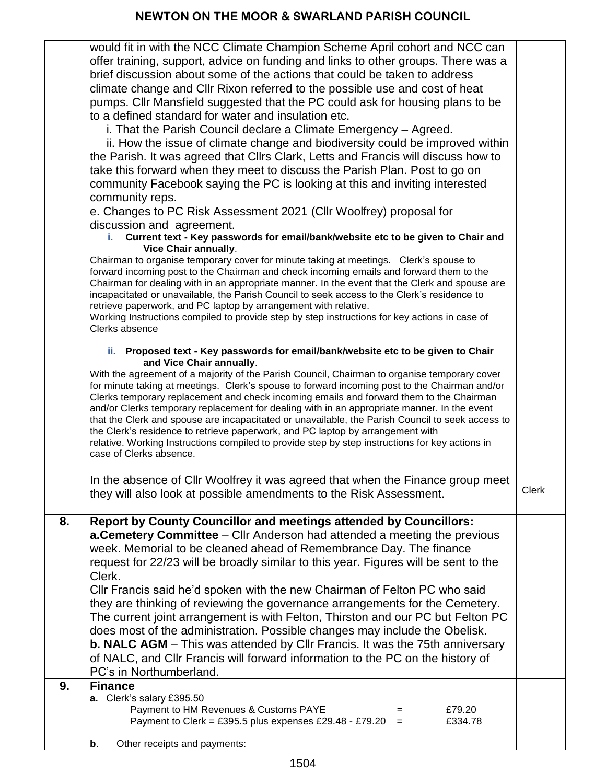| would fit in with the NCC Climate Champion Scheme April cohort and NCC can<br>offer training, support, advice on funding and links to other groups. There was a<br>brief discussion about some of the actions that could be taken to address<br>climate change and Cllr Rixon referred to the possible use and cost of heat<br>pumps. Cllr Mansfield suggested that the PC could ask for housing plans to be<br>to a defined standard for water and insulation etc.<br>i. That the Parish Council declare a Climate Emergency - Agreed.<br>ii. How the issue of climate change and biodiversity could be improved within<br>the Parish. It was agreed that Cllrs Clark, Letts and Francis will discuss how to<br>take this forward when they meet to discuss the Parish Plan. Post to go on<br>community Facebook saying the PC is looking at this and inviting interested<br>community reps.<br>e. Changes to PC Risk Assessment 2021 (Cllr Woolfrey) proposal for<br>discussion and agreement.<br>Current text - Key passwords for email/bank/website etc to be given to Chair and<br>Vice Chair annually.<br>Chairman to organise temporary cover for minute taking at meetings. Clerk's spouse to<br>forward incoming post to the Chairman and check incoming emails and forward them to the<br>Chairman for dealing with in an appropriate manner. In the event that the Clerk and spouse are<br>incapacitated or unavailable, the Parish Council to seek access to the Clerk's residence to<br>retrieve paperwork, and PC laptop by arrangement with relative.<br>Working Instructions compiled to provide step by step instructions for key actions in case of<br>Clerks absence<br>ii. Proposed text - Key passwords for email/bank/website etc to be given to Chair<br>and Vice Chair annually.<br>With the agreement of a majority of the Parish Council, Chairman to organise temporary cover<br>for minute taking at meetings. Clerk's spouse to forward incoming post to the Chairman and/or<br>Clerks temporary replacement and check incoming emails and forward them to the Chairman<br>and/or Clerks temporary replacement for dealing with in an appropriate manner. In the event<br>that the Clerk and spouse are incapacitated or unavailable, the Parish Council to seek access to<br>the Clerk's residence to retrieve paperwork, and PC laptop by arrangement with<br>relative. Working Instructions compiled to provide step by step instructions for key actions in<br>case of Clerks absence.<br>In the absence of Cllr Woolfrey it was agreed that when the Finance group meet<br><b>Clerk</b><br>they will also look at possible amendments to the Risk Assessment.<br><b>Report by County Councillor and meetings attended by Councillors:</b><br>8.<br>a. Cemetery Committee – Cllr Anderson had attended a meeting the previous<br>week. Memorial to be cleaned ahead of Remembrance Day. The finance<br>request for 22/23 will be broadly similar to this year. Figures will be sent to the<br>Clerk.<br>CIIr Francis said he'd spoken with the new Chairman of Felton PC who said<br>they are thinking of reviewing the governance arrangements for the Cemetery.<br>The current joint arrangement is with Felton, Thirston and our PC but Felton PC<br>does most of the administration. Possible changes may include the Obelisk.<br><b>b. NALC AGM</b> – This was attended by Cllr Francis. It was the 75th anniversary<br>of NALC, and Cllr Francis will forward information to the PC on the history of<br>PC's in Northumberland.<br><b>Finance</b><br>9.<br>a. Clerk's salary £395.50<br>Payment to HM Revenues & Customs PAYE<br>£79.20<br>$=$<br>Payment to Clerk = £395.5 plus expenses £29.48 - £79.20 =<br>£334.78 |                                    |  |
|----------------------------------------------------------------------------------------------------------------------------------------------------------------------------------------------------------------------------------------------------------------------------------------------------------------------------------------------------------------------------------------------------------------------------------------------------------------------------------------------------------------------------------------------------------------------------------------------------------------------------------------------------------------------------------------------------------------------------------------------------------------------------------------------------------------------------------------------------------------------------------------------------------------------------------------------------------------------------------------------------------------------------------------------------------------------------------------------------------------------------------------------------------------------------------------------------------------------------------------------------------------------------------------------------------------------------------------------------------------------------------------------------------------------------------------------------------------------------------------------------------------------------------------------------------------------------------------------------------------------------------------------------------------------------------------------------------------------------------------------------------------------------------------------------------------------------------------------------------------------------------------------------------------------------------------------------------------------------------------------------------------------------------------------------------------------------------------------------------------------------------------------------------------------------------------------------------------------------------------------------------------------------------------------------------------------------------------------------------------------------------------------------------------------------------------------------------------------------------------------------------------------------------------------------------------------------------------------------------------------------------------------------------------------------------------------------------------------------------------------------------------------------------------------------------------------------------------------------------------------------------------------------------------------------------------------------------------------------------------------------------------------------------------------------------------------------------------------------------------------------------------------------------------------------------------------------------------------------------------------------------------------------------------------------------------------------------------------------------------------------------------------------------------------------------------------------------------------------------------------------------------------------------------------------------------------------------------------------------------------------------------------------------------------------------------------------------------------------------------------------------------|------------------------------------|--|
|                                                                                                                                                                                                                                                                                                                                                                                                                                                                                                                                                                                                                                                                                                                                                                                                                                                                                                                                                                                                                                                                                                                                                                                                                                                                                                                                                                                                                                                                                                                                                                                                                                                                                                                                                                                                                                                                                                                                                                                                                                                                                                                                                                                                                                                                                                                                                                                                                                                                                                                                                                                                                                                                                                                                                                                                                                                                                                                                                                                                                                                                                                                                                                                                                                                                                                                                                                                                                                                                                                                                                                                                                                                                                                                                                                |                                    |  |
|                                                                                                                                                                                                                                                                                                                                                                                                                                                                                                                                                                                                                                                                                                                                                                                                                                                                                                                                                                                                                                                                                                                                                                                                                                                                                                                                                                                                                                                                                                                                                                                                                                                                                                                                                                                                                                                                                                                                                                                                                                                                                                                                                                                                                                                                                                                                                                                                                                                                                                                                                                                                                                                                                                                                                                                                                                                                                                                                                                                                                                                                                                                                                                                                                                                                                                                                                                                                                                                                                                                                                                                                                                                                                                                                                                |                                    |  |
|                                                                                                                                                                                                                                                                                                                                                                                                                                                                                                                                                                                                                                                                                                                                                                                                                                                                                                                                                                                                                                                                                                                                                                                                                                                                                                                                                                                                                                                                                                                                                                                                                                                                                                                                                                                                                                                                                                                                                                                                                                                                                                                                                                                                                                                                                                                                                                                                                                                                                                                                                                                                                                                                                                                                                                                                                                                                                                                                                                                                                                                                                                                                                                                                                                                                                                                                                                                                                                                                                                                                                                                                                                                                                                                                                                |                                    |  |
|                                                                                                                                                                                                                                                                                                                                                                                                                                                                                                                                                                                                                                                                                                                                                                                                                                                                                                                                                                                                                                                                                                                                                                                                                                                                                                                                                                                                                                                                                                                                                                                                                                                                                                                                                                                                                                                                                                                                                                                                                                                                                                                                                                                                                                                                                                                                                                                                                                                                                                                                                                                                                                                                                                                                                                                                                                                                                                                                                                                                                                                                                                                                                                                                                                                                                                                                                                                                                                                                                                                                                                                                                                                                                                                                                                | Other receipts and payments:<br>b. |  |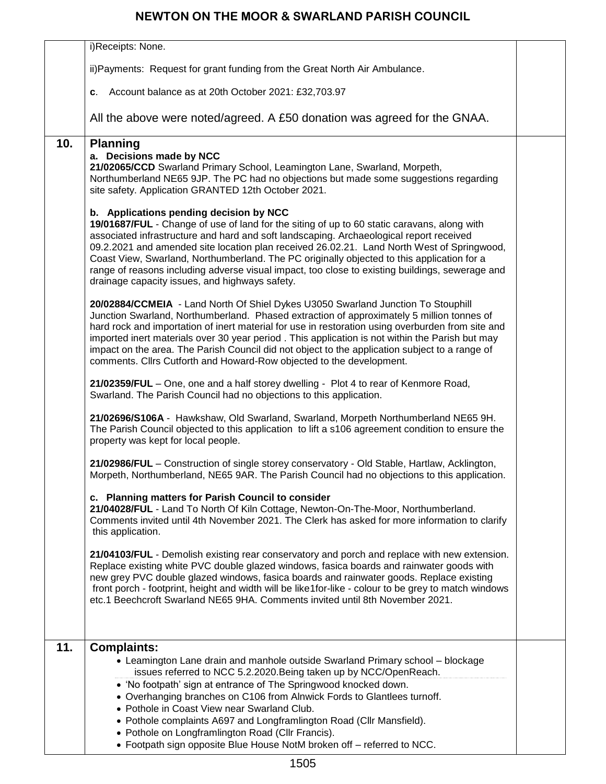## **NEWTON ON THE MOOR & SWARLAND PARISH COUNCIL**

|     | i)Receipts: None.                                                                                                                                                                                                                                                                                                                                                                                                                                                                                                                                                                  |  |
|-----|------------------------------------------------------------------------------------------------------------------------------------------------------------------------------------------------------------------------------------------------------------------------------------------------------------------------------------------------------------------------------------------------------------------------------------------------------------------------------------------------------------------------------------------------------------------------------------|--|
|     | ii) Payments: Request for grant funding from the Great North Air Ambulance.                                                                                                                                                                                                                                                                                                                                                                                                                                                                                                        |  |
|     | c. Account balance as at 20th October 2021: £32,703.97                                                                                                                                                                                                                                                                                                                                                                                                                                                                                                                             |  |
|     | All the above were noted/agreed. A £50 donation was agreed for the GNAA.                                                                                                                                                                                                                                                                                                                                                                                                                                                                                                           |  |
| 10. | <b>Planning</b><br>a. Decisions made by NCC<br>21/02065/CCD Swarland Primary School, Leamington Lane, Swarland, Morpeth,<br>Northumberland NE65 9JP. The PC had no objections but made some suggestions regarding<br>site safety. Application GRANTED 12th October 2021.                                                                                                                                                                                                                                                                                                           |  |
|     | b. Applications pending decision by NCC<br>19/01687/FUL - Change of use of land for the siting of up to 60 static caravans, along with<br>associated infrastructure and hard and soft landscaping. Archaeological report received<br>09.2.2021 and amended site location plan received 26.02.21. Land North West of Springwood,<br>Coast View, Swarland, Northumberland. The PC originally objected to this application for a<br>range of reasons including adverse visual impact, too close to existing buildings, sewerage and<br>drainage capacity issues, and highways safety. |  |
|     | 20/02884/CCMEIA - Land North Of Shiel Dykes U3050 Swarland Junction To Stouphill<br>Junction Swarland, Northumberland. Phased extraction of approximately 5 million tonnes of<br>hard rock and importation of inert material for use in restoration using overburden from site and<br>imported inert materials over 30 year period. This application is not within the Parish but may<br>impact on the area. The Parish Council did not object to the application subject to a range of<br>comments. Cllrs Cutforth and Howard-Row objected to the development.                    |  |
|     | 21/02359/FUL - One, one and a half storey dwelling - Plot 4 to rear of Kenmore Road,<br>Swarland. The Parish Council had no objections to this application.                                                                                                                                                                                                                                                                                                                                                                                                                        |  |
|     | 21/02696/S106A - Hawkshaw, Old Swarland, Swarland, Morpeth Northumberland NE65 9H.<br>The Parish Council objected to this application to lift a s106 agreement condition to ensure the<br>property was kept for local people.                                                                                                                                                                                                                                                                                                                                                      |  |
|     | 21/02986/FUL - Construction of single storey conservatory - Old Stable, Hartlaw, Acklington,<br>Morpeth, Northumberland, NE65 9AR. The Parish Council had no objections to this application.                                                                                                                                                                                                                                                                                                                                                                                       |  |
|     | c. Planning matters for Parish Council to consider<br>21/04028/FUL - Land To North Of Kiln Cottage, Newton-On-The-Moor, Northumberland.<br>Comments invited until 4th November 2021. The Clerk has asked for more information to clarify<br>this application.                                                                                                                                                                                                                                                                                                                      |  |
|     | 21/04103/FUL - Demolish existing rear conservatory and porch and replace with new extension.<br>Replace existing white PVC double glazed windows, fasica boards and rainwater goods with<br>new grey PVC double glazed windows, fasica boards and rainwater goods. Replace existing<br>front porch - footprint, height and width will be like1for-like - colour to be grey to match windows<br>etc.1 Beechcroft Swarland NE65 9HA. Comments invited until 8th November 2021.                                                                                                       |  |
| 11. | <b>Complaints:</b>                                                                                                                                                                                                                                                                                                                                                                                                                                                                                                                                                                 |  |
|     | • Leamington Lane drain and manhole outside Swarland Primary school - blockage                                                                                                                                                                                                                                                                                                                                                                                                                                                                                                     |  |
|     | issues referred to NCC 5.2.2020. Being taken up by NCC/OpenReach.<br>• 'No footpath' sign at entrance of The Springwood knocked down.                                                                                                                                                                                                                                                                                                                                                                                                                                              |  |
|     | • Overhanging branches on C106 from Alnwick Fords to Glantlees turnoff.                                                                                                                                                                                                                                                                                                                                                                                                                                                                                                            |  |
|     | • Pothole in Coast View near Swarland Club.                                                                                                                                                                                                                                                                                                                                                                                                                                                                                                                                        |  |
|     | • Pothole complaints A697 and Longframlington Road (Cllr Mansfield).<br>• Pothole on Longframlington Road (Cllr Francis).                                                                                                                                                                                                                                                                                                                                                                                                                                                          |  |
|     | • Footpath sign opposite Blue House NotM broken off - referred to NCC.                                                                                                                                                                                                                                                                                                                                                                                                                                                                                                             |  |